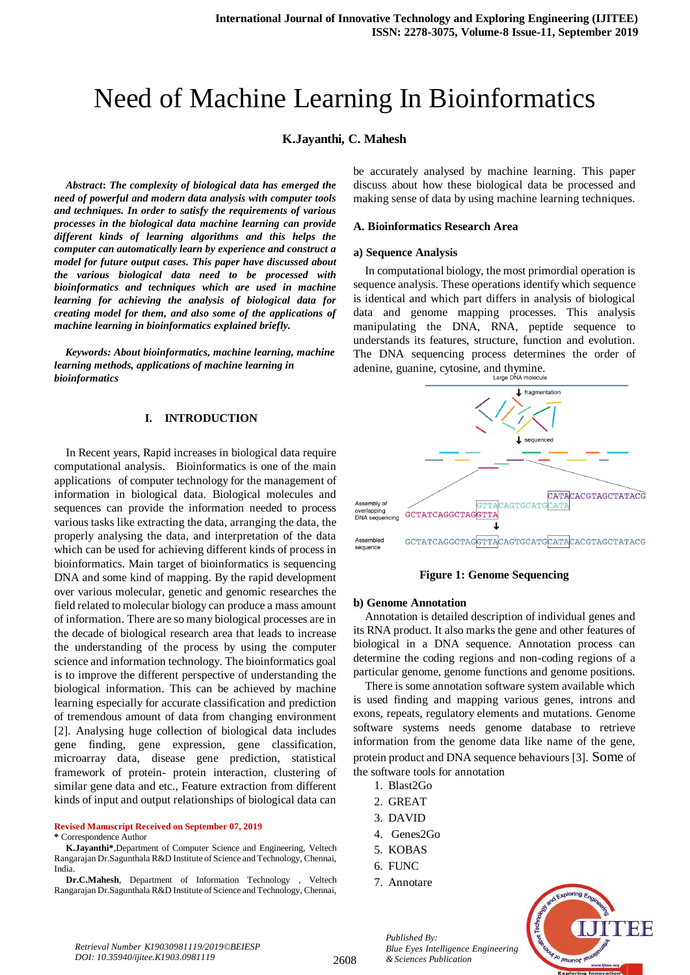# Need of Machine Learning In Bioinformatics

## **K.Jayanthi, C. Mahesh**

*Abstract***:** *The complexity of biological data has emerged the need of powerful and modern data analysis with computer tools and techniques. In order to satisfy the requirements of various processes in the biological data machine learning can provide different kinds of learning algorithms and this helps the computer can automatically learn by experience and construct a model for future output cases. This paper have discussed about the various biological data need to be processed with bioinformatics and techniques which are used in machine learning for achieving the analysis of biological data for creating model for them, and also some of the applications of machine learning in bioinformatics explained briefly.*

 *Keywords: About bioinformatics, machine learning, machine learning methods, applications of machine learning in bioinformatics*

#### **I. INTRODUCTION**

In Recent years, Rapid increases in biological data require computational analysis. Bioinformatics is one of the main applications of computer technology for the management of information in biological data. Biological molecules and sequences can provide the information needed to process various tasks like extracting the data, arranging the data, the properly analysing the data, and interpretation of the data which can be used for achieving different kinds of process in bioinformatics. Main target of bioinformatics is sequencing DNA and some kind of mapping. By the rapid development over various molecular, genetic and genomic researches the field related to molecular biology can produce a mass amount of information. There are so many biological processes are in the decade of biological research area that leads to increase the understanding of the process by using the computer science and information technology. The bioinformatics goal is to improve the different perspective of understanding the biological information. This can be achieved by machine learning especially for accurate classification and prediction of tremendous amount of data from changing environment [2]. Analysing huge collection of biological data includes gene finding, gene expression, gene classification, microarray data, disease gene prediction, statistical framework of protein- protein interaction, clustering of similar gene data and etc., Feature extraction from different kinds of input and output relationships of biological data can

**Revised Manuscript Received on September 07, 2019**

#### **\*** Correspondence Author

be accurately analysed by machine learning. This paper discuss about how these biological data be processed and making sense of data by using machine learning techniques.

#### **A. Bioinformatics Research Area**

#### **a) Sequence Analysis**

In computational biology, the most primordial operation is sequence analysis. These operations identify which sequence is identical and which part differs in analysis of biological data and genome mapping processes. This analysis manipulating the DNA, RNA, peptide sequence to understands its features, structure, function and evolution. The DNA sequencing process determines the order of adenine, guanine, cytosine, and thymine.



#### **Figure 1: Genome Sequencing**

#### **b) Genome Annotation**

Annotation is detailed description of individual genes and its RNA product. It also marks the gene and other features of biological in a DNA sequence. Annotation process can determine the coding regions and non-coding regions of a particular genome, genome functions and genome positions.

There is some annotation software system available which is used finding and mapping various genes, introns and exons, repeats, regulatory elements and mutations. Genome software systems needs genome database to retrieve information from the genome data like name of the gene, protein product and DNA sequence behaviours [3]. Some of the software tools for annotation

- 1. Blast2Go
- 2. GREAT
- 3. DAVID
- 4. Genes2Go
- 5. KOBAS
- $6.$  FUNC
- 7. Annotare

*Published By:*

*& Sciences Publication* 



**K.Jayanthi\***,Department of Computer Science and Engineering, Veltech Rangarajan Dr.Sagunthala R&D Institute of Science and Technology, Chennai, India.

**Dr.C.Mahesh**, Department of Information Technology , Veltech Rangarajan Dr.Sagunthala R&D Institute of Science and Technology, Chennai,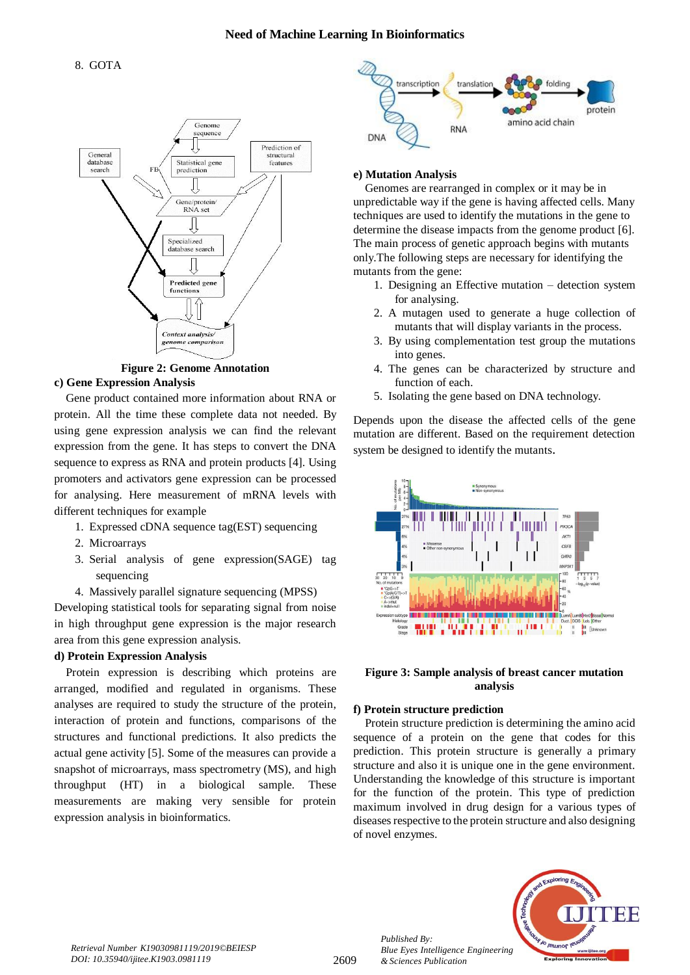

**Figure 2: Genome Annotation c) Gene Expression Analysis**

Gene product contained more information about RNA or protein. All the time these complete data not needed. By using gene expression analysis we can find the relevant expression from the gene. It has steps to convert the DNA sequence to express as RNA and protein products [4]. Using promoters and activators gene expression can be processed for analysing. Here measurement of mRNA levels with different techniques for example

- 1. Expressed cDNA sequence tag(EST) sequencing
- 2. Microarrays
- 3. Serial analysis of gene expression(SAGE) tag sequencing
- 4. Massively parallel signature sequencing (MPSS)

Developing statistical tools for separating signal from noise in high throughput gene expression is the major research area from this gene expression analysis.

## **d) Protein Expression Analysis**

Protein expression is describing which proteins are arranged, modified and regulated in organisms. These analyses are required to study the structure of the protein, interaction of protein and functions, comparisons of the structures and functional predictions. It also predicts the actual gene activity [5]. Some of the measures can provide a snapshot of microarrays, mass spectrometry (MS), and high throughput (HT) in a biological sample. These measurements are making very sensible for protein expression analysis in bioinformatics.



## **e) Mutation Analysis**

Genomes are rearranged in complex or it may be in unpredictable way if the gene is having affected cells. Many techniques are used to identify the mutations in the gene to determine the disease impacts from the genome product [6]. The main process of genetic approach begins with mutants only.The following steps are necessary for identifying the mutants from the gene:

- 1. Designing an Effective mutation detection system for analysing.
- 2. A mutagen used to generate a huge collection of mutants that will display variants in the process.
- 3. By using complementation test group the mutations into genes.
- 4. The genes can be characterized by structure and function of each.
- 5. Isolating the gene based on DNA technology.

Depends upon the disease the affected cells of the gene mutation are different. Based on the requirement detection system be designed to identify the mutants.





## **f) Protein structure prediction**

Protein structure prediction is determining the amino acid sequence of a protein on the gene that codes for this prediction. This protein structure is generally a primary structure and also it is unique one in the gene environment. Understanding the knowledge of this structure is important for the function of the protein. This type of prediction maximum involved in drug design for a various types of diseases respective to the protein structure and also designing of novel enzymes.



*Published By:*

*& Sciences Publication*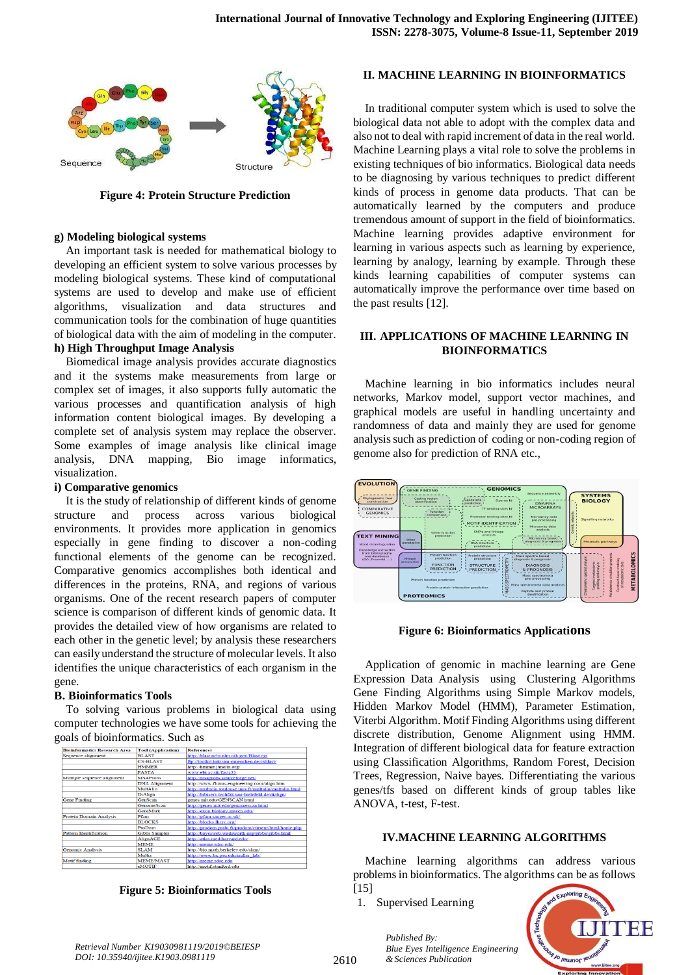

**Figure 4: Protein Structure Prediction**

#### **g) Modeling biological systems**

An important task is needed for mathematical biology to developing an efficient system to solve various processes by modeling biological systems. These kind of computational systems are used to develop and make use of efficient algorithms, visualization and data structures and communication tools for the combination of huge quantities of biological data with the aim of modeling in the computer.

## **h) High Throughput Image Analysis**

Biomedical image analysis provides accurate diagnostics and it the systems make measurements from large or complex set of images, it also supports fully automatic the various processes and quantification analysis of high information content biological images. By developing a complete set of analysis system may replace the observer. Some examples of image analysis like clinical image analysis, DNA mapping, Bio image informatics, visualization.

#### **i) Comparative genomics**

It is the study of relationship of different kinds of genome structure and process across various biological environments. It provides more application in genomics especially in gene finding to discover a non-coding functional elements of the genome can be recognized. Comparative genomics accomplishes both identical and differences in the proteins, RNA, and regions of various organisms. One of the recent research papers of computer science is comparison of different kinds of genomic data. It provides the detailed view of how organisms are related to each other in the genetic level; by analysis these researchers can easily understand the structure of molecular levels. It also identifies the unique characteristics of each organism in the gene.

#### **B. Bioinformatics Tools**

To solving various problems in biological data using computer technologies we have some tools for achieving the goals of bioinformatics. Such as



**Figure 5: Bioinformatics Tools**

### **II. MACHINE LEARNING IN BIOINFORMATICS**

In traditional computer system which is used to solve the biological data not able to adopt with the complex data and also not to deal with rapid increment of data in the real world. Machine Learning plays a vital role to solve the problems in existing techniques of bio informatics. Biological data needs to be diagnosing by various techniques to predict different kinds of process in genome data products. That can be automatically learned by the computers and produce tremendous amount of support in the field of bioinformatics. Machine learning provides adaptive environment for learning in various aspects such as learning by experience, learning by analogy, learning by example. Through these kinds learning capabilities of computer systems can automatically improve the performance over time based on the past results [12].

## **III. APPLICATIONS OF MACHINE LEARNING IN BIOINFORMATICS**

Machine learning in bio informatics includes neural networks, Markov model, support vector machines, and graphical models are useful in handling uncertainty and randomness of data and mainly they are used for genome analysis such as prediction of coding or non-coding region of genome also for prediction of RNA etc.,



#### **Figure 6: Bioinformatics Applications**

Application of genomic in machine learning are Gene Expression Data Analysis using Clustering Algorithms Gene Finding Algorithms using Simple Markov models, Hidden Markov Model (HMM), Parameter Estimation, Viterbi Algorithm. Motif Finding Algorithms using different discrete distribution, Genome Alignment using HMM. Integration of different biological data for feature extraction using Classification Algorithms, Random Forest, Decision Trees, Regression, Naive bayes. Differentiating the various genes/tfs based on different kinds of group tables like ANOVA, t-test, F-test.

#### **IV.MACHINE LEARNING ALGORITHMS**

Machine learning algorithms can address various problems in bioinformatics. The algorithms can be as follows [15]

1. Supervised Learning

*Published By:*

*& Sciences Publication* 

*Blue Eyes Intelligence Engineering* 



*Retrieval Number K19030981119/2019©BEIESP DOI: 10.35940/ijitee.K1903.0981119*